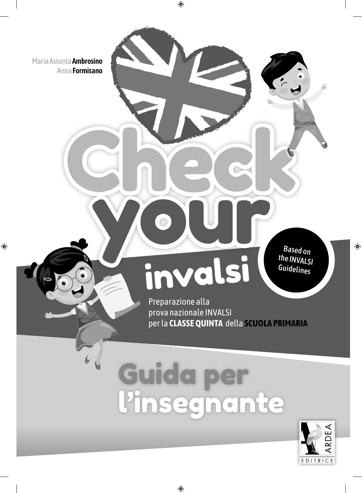Maria Assunta **Ambrosino** Anna **Formisano**

 $\bigoplus$ 

Based on the INVALSI **Guidelines** 

 $\bigoplus$ 

Preparazione alla prova nazionale INVALSI per la **CLASSE QUINTA** della **SCUOLA PRIMARIA**

# Guida per l'insegnante

invalsi

**Check** 

**Check** 

 $\bigoplus$ 

your

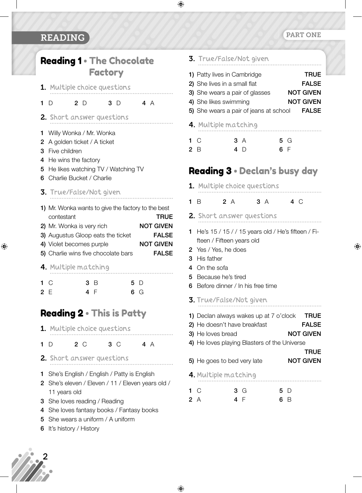## READING

# Reading 1 • The Chocolate Factory

 $\bigoplus$ 

- 1. Multiple choice questions **1** D **2** D **3** D **4** A
- 2. Short answer questions
- **1** Willy Wonka / Mr. Wonka
- **2** A golden ticket / A ticket
- **3** Five children
- **4** He wins the factory
- **5** He likes watching TV / Watching TV
- **6** Charlie Bucket / Charlie
- 3. True/False/Not given
- **1)** Mr. Wonka wants to give the factory to the best contestant **TRUE 2)** Mr. Wonka is very rich **NOT GIVEN 3)** Augustus Gloop eats the ticket **FALSE 4)** Violet becomes purple **NOT GIVEN 5)** Charlie wins five chocolate bars **FALSE**

4. Multiple matching

| 1 <sup>C</sup> |     | 3B  | 5 D |
|----------------|-----|-----|-----|
|                | 2 E | 4 F | 6 G |

# Reading 2 • This is Patty

1. Multiple choice questions

#### **1** D **2** C **3** C **4** A

- 2. Short answer questions
- **1** She's English / English / Patty is English
- **2** She's eleven / Eleven / 11 / Eleven years old / 11 years old
- **3** She loves reading / Reading
- **4** She loves fantasy books / Fantasy books
- **5** She wears a uniform / A uniform
- **6** It's history / History

#### PART ONE

⊕

| 3. True/False/Not given<br>1) Patty lives in Cambridge<br><b>TRUE</b><br>2) She lives in a small flat<br><b>FALSE</b><br>3) She wears a pair of glasses<br><b>NOT GIVEN</b><br>4) She likes swimming<br><b>NOT GIVEN</b><br>5) She wears a pair of jeans at school FALSE |
|--------------------------------------------------------------------------------------------------------------------------------------------------------------------------------------------------------------------------------------------------------------------------|
| 4. Multiple matching                                                                                                                                                                                                                                                     |
| 1 C<br>3 A<br>5 G<br>6 F<br>2B<br>4 $\Box$                                                                                                                                                                                                                               |
| <b>Reading 3 • Declan's busy day</b>                                                                                                                                                                                                                                     |
| 1. Multiple choice questions                                                                                                                                                                                                                                             |
| 2A<br>3A<br>4 C<br>1 $\overline{B}$                                                                                                                                                                                                                                      |
| 2. Short answer questions                                                                                                                                                                                                                                                |
| He's 15 / 15 / / 15 years old / He's fifteen / Fi-<br>1.                                                                                                                                                                                                                 |
| fteen / Fifteen years old                                                                                                                                                                                                                                                |
| Yes / Yes, he does<br>2<br>3 His father                                                                                                                                                                                                                                  |
| 4 On the sofa                                                                                                                                                                                                                                                            |
| Because he's tired<br>5<br>Before dinner / In his free time<br>6                                                                                                                                                                                                         |
| <b>3.</b> True/False/Not given                                                                                                                                                                                                                                           |
| 1) Declan always wakes up at 7 o'clock TRUE<br>2) He doesn't have breakfast<br><b>FALSE</b><br><b>NOT GIVEN</b><br>3) He loves bread<br>4) He loves playing Blasters of the Universe<br>TRUE                                                                             |
| <b>NOT GIVEN</b><br>5) He goes to bed very late                                                                                                                                                                                                                          |
| <b>4.</b> Multiple matching                                                                                                                                                                                                                                              |
| - C<br>3 G<br>5 D<br>1.<br>4 F<br>2<br>A<br>6<br>- B                                                                                                                                                                                                                     |

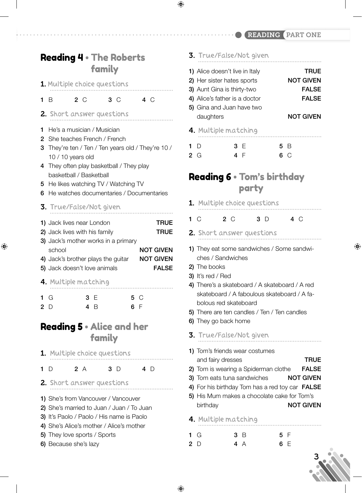#### READING PART ONE

# Reading 4 • The Roberts family

1. Multiple choice questions

**1** B **2** C **3** C **4** C

- 2. Short answer questions
- **1** He's a musician / Musician
- **2** She teaches French / French
- **3** They're ten / Ten / Ten years old / They're 10 / 10 / 10 years old
- **4** They often play basketball / They play basketball / Basketball
- **5** He likes watching TV / Watching TV
- **6** He watches documentaries / Documentaries
- 3. True/False/Not given

⊕

| 1) Jack lives near London           | <b>TRUE</b>      |
|-------------------------------------|------------------|
| 2) Jack lives with his family       | <b>TRUE</b>      |
| 3) Jack's mother works in a primary |                  |
| school                              | <b>NOT GIVEN</b> |
| 4) Jack's brother plays the guitar  | <b>NOT GIVEN</b> |
| 5) Jack doesn't love animals        | <b>FALSE</b>     |
| 4. Multiple matching                |                  |

| 1 G | 3 E | 5 C |
|-----|-----|-----|
| 2D  | 4 B | 6 F |

## Reading 5 • Alice and her family

|            | 1. Multiple choice questions |     |     |
|------------|------------------------------|-----|-----|
|            |                              |     |     |
| $1\quad D$ | 2 A                          | 3 D | 4 D |

- 2. Short answer questions
- **1)** She's from Vancouver / Vancouver
- **2)** She's married to Juan / Juan / To Juan
- **3)** It's Paolo / Paolo / His name is Paolo
- **4)** She's Alice's mother / Alice's mother
- **5)** They love sports / Sports
- **6)** Because she's lazy

## 3. True/False/Not given

 $\bigoplus$ 

- **1)** Alice doesn't live in Italy **TRUE 2)** Her sister hates sports **NOT GIVEN 3)** Aunt Gina is thirty-two **FALSE 4)** Alice's father is a doctor **FALSE 5)** Gina and Juan have two daughters **NOT GIVEN** 4. Multiple matching
- **1** D **2** G **3** E **4** F **5** B **6** C

# Reading 6 • Tom's birthday party

- 1. Multiple choice questions
- **1** C **2** C **3** D **4** C
- 2. Short answer questions
- **1)** They eat some sandwiches / Some sandwiches / Sandwiches
- **2)** The books
- **3)** It's red / Red
- **4)** There's a skateboard / A skateboard / A red skateboard / A faboulous skateboard / A fabolous red skateboard
- **5)** There are ten candles / Ten / Ten candles
- **6)** They go back home
- 3. True/False/Not given
- **1)** Tom's friends wear costumes and fairy dresses **TRUE**
- **2)** Tom is wearing a Spiderman clothe **FALSE**
- **3)** Tom eats tuna sandwiches **NOT GIVEN**
- **4)** For his birthday Tom has a red toy car **FALSE**
- **5)** His Mum makes a chocolate cake for Tom's birthday **NOT GIVEN**
- 4. Multiple matching
- 1  $G$ **2** D **3** B **4** A **5** F **6** E



⊕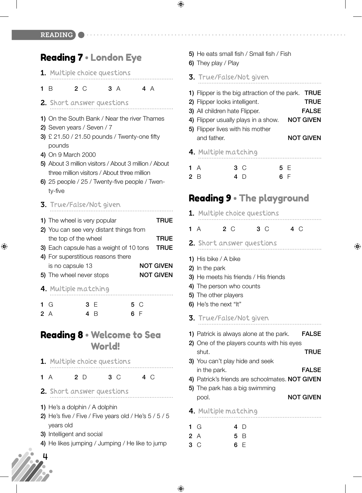$\bigoplus$ 

#### READING

## Reading 7 • London Eye

- 1. Multiple choice questions
- **1** B **2** C **3** A **4** A
- 2. Short answer questions
- **1)** On the South Bank / Near the river Thames
- **2)** Seven years / Seven / 7
- **3)** £ 21.50 / 21.50 pounds / Twenty-one fifty pounds
- **4)** On 9 March 2000
- **5)** About 3 million visitors / About 3 million / About three million visitors / About three million
- **6)** 25 people / 25 / Twenty-five people / Twenty-five
- 3. True/False/Not given

| 1) The wheel is very popular            | <b>TRUE</b>      |
|-----------------------------------------|------------------|
| 2) You can see very distant things from |                  |
| the top of the wheel                    | <b>TRUE</b>      |
| 3) Each capsule has a weight of 10 tons | <b>TRUE</b>      |
| 4) For superstitious reasons there      |                  |
| is no capsule 13                        | <b>NOT GIVEN</b> |
| 5) The wheel never stops                | <b>NOT GIVEN</b> |
| 4. Multiple matching                    |                  |
|                                         |                  |

|    | 1 G | 3 E |     | 5 C |  |
|----|-----|-----|-----|-----|--|
| 2A |     |     | 4 B | 6 F |  |

## Reading 8 • Welcome to Sea World!

- 1. Multiple choice questions
- **1** A **2** D **3** C **4** C
- 2. Short answer questions
- **1)** He's a dolphin / A dolphin
- **2)** He's five / Five / Five years old / He's 5 / 5 / 5 years old
- **3)** Intelligent and social
- **4)** He likes jumping / Jumping / He like to jump

 $\bigoplus$ 

- **5)** He eats small fish / Small fish / Fish
- **6)** They play / Play
- 3. True/False/Not given
- **1)** Flipper is the big attraction of the park. **TRUE**
- **2)** Flipper looks intelligent. **TRUE**
- **3)** All children hate Flipper. **FALSE**
- **4)** Flipper usually plays in a show. **NOT GIVEN**
- **5)** Flipper lives with his mother and father. **NOT GIVEN**
- 4. Multiple matching
- **1** A **2** B **3** C **4** D **5** E **6** F

# Reading 9 · The playground

|        | <b>1.</b> Multiple choice questions                                                                                                                                                                  |           |                                             |
|--------|------------------------------------------------------------------------------------------------------------------------------------------------------------------------------------------------------|-----------|---------------------------------------------|
|        | $2\degree$ C<br>$1 \text{ A}$                                                                                                                                                                        | $3^\circ$ | 4 C                                         |
|        | 2. Short answer questions                                                                                                                                                                            |           |                                             |
|        | 1) His bike $/$ A bike<br>2) In the park<br>3) He meets his friends / His friends<br>4) The person who counts<br>5) The other players<br>6) He's the next "It"                                       |           |                                             |
|        | <b>3.</b> True/False/Not given                                                                                                                                                                       |           |                                             |
|        | 1) Patrick is always alone at the park.<br>2) One of the players counts with his eyes<br>shut.<br>3) You can't play hide and seek<br>in the park.<br>4) Patrick's friends are schoolmates. NOT GIVEN |           | <b>FALSE</b><br><b>TRUE</b><br><b>FALSE</b> |
|        | 5) The park has a big swimming<br>pool.                                                                                                                                                              |           | <b>NOT GIVEN</b>                            |
|        | <b>4.</b> Multiple matching                                                                                                                                                                          |           |                                             |
| 1<br>3 | G<br>4<br>D<br>2A<br>5 B<br>6<br>E<br>C                                                                                                                                                              |           |                                             |

⊕

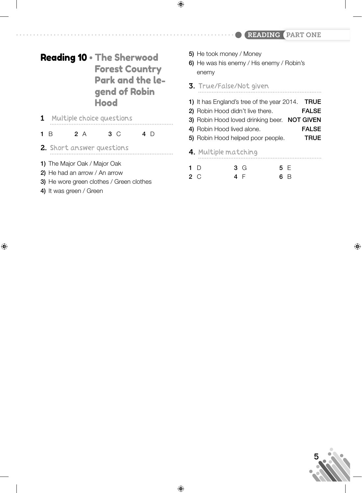#### READING PART ONE

# Reading 10 • The Sherwood Forest Country Park and the legend of Robin Hood

1 Multiple choice questions

#### **1** B **2** A **3** C **4** D

- 2. Short answer questions
- **1)** The Major Oak / Major Oak
- **2)** He had an arrow / An arrow
- **3)** He wore green clothes / Green clothes
- **4)** It was green / Green

 $\bigoplus$ 

**5)** He took money / Money

 $\bigoplus$ 

- **6)** He was his enemy / His enemy / Robin's enemy
- 3. True/False/Not given
- **1)** It has England's tree of the year 2014. **TRUE**
- **2)** Robin Hood didn't live there. **FALSE**
- **3)** Robin Hood loved drinking beer. **NOT GIVEN**
- **4)** Robin Hood lived alone. **FALSE**
- **5)** Robin Hood helped poor people. **TRUE**
- 4. Multiple matching

| $1\quad D$ |     | 3G | 5 E |  |
|------------|-----|----|-----|--|
| 2 C        | 4 F |    | 6 B |  |

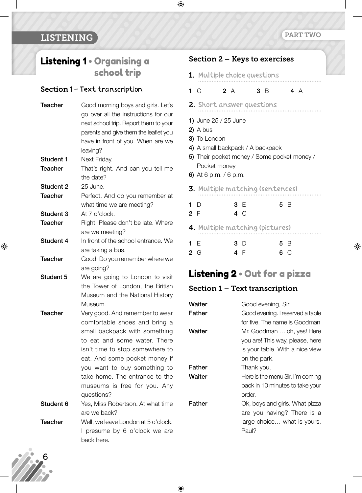. . . . . . . . .

⊕

#### LISTENING

# Listening 1 • Organising a school trip

#### Section 1 - Text transcription

| <b>Teacher</b>   | Good morning boys and girls. Let's    |
|------------------|---------------------------------------|
|                  | go over all the instructions for our  |
|                  | next school trip. Report them to your |
|                  | parents and give them the leaflet you |
|                  | have in front of you. When are we     |
|                  | leaving?                              |
| <b>Student 1</b> | Next Friday.                          |
| <b>Teacher</b>   | That's right. And can you tell me     |
|                  | the date?                             |
| <b>Student 2</b> | 25 June.                              |
| <b>Teacher</b>   | Perfect. And do you remember at       |
|                  | what time we are meeting?             |
| Student 3        | At 7 o'clock.                         |
| <b>Teacher</b>   | Right. Please don't be late. Where    |
|                  | are we meeting?                       |
| Student 4        | In front of the school entrance. We   |
|                  | are taking a bus.                     |
| <b>Teacher</b>   | Good. Do you remember where we        |
|                  | are going?                            |
| <b>Student 5</b> | We are going to London to visit       |
|                  | the Tower of London, the British      |
|                  | Museum and the National History       |
|                  | Museum.                               |
| <b>Teacher</b>   | Very good. And remember to wear       |
|                  | comfortable shoes and bring a         |
|                  | small backpack with something         |
|                  | to eat and some water. There          |
|                  | isn't time to stop somewhere to       |
|                  | eat. And some pocket money if         |
|                  | you want to buy something to          |
|                  | take home. The entrance to the        |
|                  | museums is free for you. Any          |
|                  | questions?                            |
| Student 6        | Yes, Miss Robertson. At what time     |
|                  | are we back?                          |
| <b>Teacher</b>   | Well, we leave London at 5 o'clock.   |
|                  | I presume by 6 o'clock we are         |
|                  | back here.                            |

#### Section 2 – Keys to exercises

- 1. Multiple choice questions
- **1** C **2** A **3** B **4** A
- 2. Short answer questions
- **1)** June 25 / 25 June
- **2)** A bus

 $\bigoplus$ 

- **3)** To London
- **4)** A small backpack / A backpack
- **5)** Their pocket money / Some pocket money / Pocket money
- **6)** At 6 p.m. / 6 p.m.
- 3. Multiple matching (sentences)
- **1** D **2** F **3** E **4** C **5** B 4. Multiple matching (pictures) **1** E **3** D **5** B
- **2** G **4** F **6** C

# Listening 2 • Out for a pizza

#### Section 1 – Text transcription

| Waiter | Good evening, Sir                |
|--------|----------------------------------|
| Father | Good evening. I reserved a table |
|        | for five. The name is Goodman    |
| Waiter | Mr. Goodman  oh, yes! Here       |
|        | you are! This way, please, here  |
|        | is your table. With a nice view  |
|        | on the park.                     |
| Father | Thank you.                       |
| Waiter | Here is the menu Sir. I'm coming |
|        | back in 10 minutes to take your  |
|        | order.                           |
| Father | Ok, boys and girls. What pizza   |
|        | are you having? There is a       |
|        | large choice what is yours,      |
|        | Paul?                            |

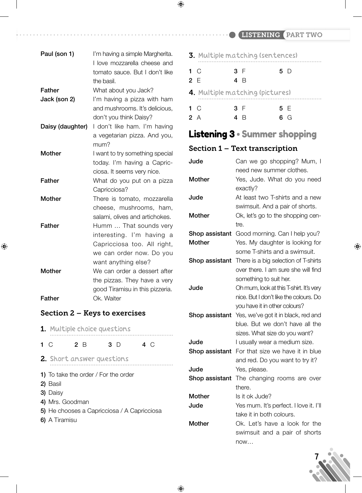LISTENING PART TWO

| Paul (son 1)     | I'm having a simple Margherita.<br>I love mozzarella cheese and<br>tomato sauce. But I don't like<br>the basil.                       |
|------------------|---------------------------------------------------------------------------------------------------------------------------------------|
| <b>Father</b>    | What about you Jack?                                                                                                                  |
| Jack (son 2)     | I'm having a pizza with ham<br>and mushrooms. It's delicious,<br>don't you think Daisy?                                               |
| Daisy (daughter) | I don't like ham. I'm having<br>a vegetarian pizza. And you,<br>mum?                                                                  |
| <b>Mother</b>    | I want to try something special<br>today. I'm having a Capric-<br>ciosa. It seems very nice.                                          |
| <b>Father</b>    | What do you put on a pizza<br>Capricciosa?                                                                                            |
| Mother           | There is tomato, mozzarella<br>cheese, mushrooms, ham,<br>salami, olives and artichokes.                                              |
| Father           | Humm  That sounds very<br>interesting. I'm having a<br>Capricciosa too. All right,<br>we can order now. Do you<br>want anything else? |
| <b>Mother</b>    | We can order a dessert after<br>the pizzas. They have a very<br>good Tiramisu in this pizzeria.                                       |
| Father           | Ok. Waiter                                                                                                                            |
|                  | <b>Section 2 – Keys to exercises</b>                                                                                                  |

 $\bigoplus$ 

|             | <b>1.</b> Multiple choice questions                                             |     |  |     |  |           |  |
|-------------|---------------------------------------------------------------------------------|-----|--|-----|--|-----------|--|
| $1 \circ C$ |                                                                                 | 2 B |  | 3 D |  | 4 $\circ$ |  |
|             | 2. Short answer questions                                                       |     |  |     |  |           |  |
|             | 1) To take the order / For the order<br>2) Basil<br>3) Daisy                    |     |  |     |  |           |  |
|             | 4) Mrs. Goodman<br>5) He chooses a Capricciosa / A Capricciosa<br>6) A Tiramisu |     |  |     |  |           |  |

|     |           | <b>3.</b> Multiple matching (sentences) |     |
|-----|-----------|-----------------------------------------|-----|
|     | $1 \, C$  | 3 F                                     | 5 D |
| 2 F |           | 4 R                                     |     |
|     |           | 4. Multiple matching (pictures)         |     |
|     | $1 \circ$ | 3 F                                     | 5 F |
| 2A  |           |                                         | G   |

 $\bigoplus$ 

# Listening 3 • Summer shopping

## Section 1 – Text transcription

| Jude           | Can we go shopping? Mum, I              |
|----------------|-----------------------------------------|
|                | need new summer clothes.                |
| <b>Mother</b>  | Yes, Jude. What do you need             |
|                | exactly?                                |
| Jude           | At least two T-shirts and a new         |
|                | swimsuit. And a pair of shorts.         |
| <b>Mother</b>  | Ok, let's go to the shopping cen-       |
|                | tre.                                    |
| Shop assistant | Good morning. Can I help you?           |
| <b>Mother</b>  | Yes. My daughter is looking for         |
|                | some T-shirts and a swimsuit.           |
| Shop assistant | There is a big selection of T-shirts    |
|                | over there. I am sure she will find     |
|                | something to suit her.                  |
| Jude           | Oh mum, look at this T-shirt. It's very |
|                | nice. But I don't like the colours. Do  |
|                | you have it in other colours?           |
| Shop assistant | Yes, we've got it in black, red and     |
|                | blue. But we don't have all the         |
|                | sizes. What size do you want?           |
| Jude           | I usually wear a medium size.           |
| Shop assistant | For that size we have it in blue        |
|                | and red. Do you want to try it?         |
| Jude           | Yes, please.                            |
| Shop assistant | The changing rooms are over             |
|                | there.                                  |
| <b>Mother</b>  | Is it ok Jude?                          |
| Jude           | Yes mum. It's perfect. I love it. I'll  |
|                | take it in both colours.                |
| <b>Mother</b>  | Ok. Let's have a look for the           |
|                | swimsuit and a pair of shorts           |
|                | now                                     |



⊕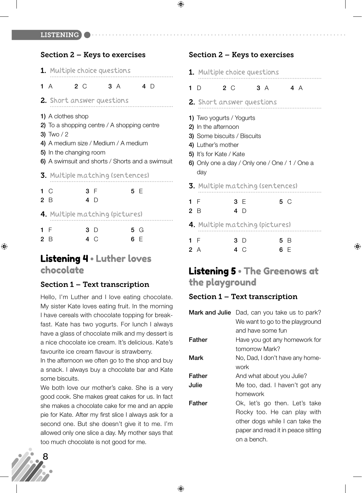LISTENING

#### Section 2 – Keys to exercises

|     | <b>1.</b> Multiple choice questions                                                                                                                                                                    |     |         |            |  |
|-----|--------------------------------------------------------------------------------------------------------------------------------------------------------------------------------------------------------|-----|---------|------------|--|
|     | 1A                                                                                                                                                                                                     | 2 C | 3 A 4 D |            |  |
|     | 2. Short answer questions                                                                                                                                                                              |     |         |            |  |
|     | 1) A clothes shop<br>2) To a shopping centre / A shopping centre<br>3) Two $/2$<br>4) A medium size / Medium / A medium<br>5) In the changing room<br>6) A swimsuit and shorts / Shorts and a swimsuit |     |         |            |  |
|     | <b>3.</b> Multiple matching (sentences)                                                                                                                                                                |     |         |            |  |
|     | $1\,C$<br>2 B                                                                                                                                                                                          | 3 F | $4$ D   | 5 E        |  |
|     | 4. Multiple matching (pictures)                                                                                                                                                                        |     |         |            |  |
| 1 F | 2 B                                                                                                                                                                                                    | 3 D | 4 C     | 5 G<br>6 F |  |

### Listening 4 • Luther loves chocolate

#### Section 1 – Text transcription

Hello, I'm Luther and I love eating chocolate. My sister Kate loves eating fruit. In the morning I have cereals with chocolate topping for breakfast. Kate has two yogurts. For lunch I always have a glass of chocolate milk and my dessert is a nice chocolate ice cream. It's delicious. Kate's favourite ice cream flavour is strawberry.

In the afternoon we often go to the shop and buy a snack. I always buy a chocolate bar and Kate some biscuits.

We both love our mother's cake. She is a very good cook. She makes great cakes for us. In fact she makes a chocolate cake for me and an apple pie for Kate. After my first slice I always ask for a second one. But she doesn't give it to me. I'm allowed only one slice a day. My mother says that too much chocolate is not good for me.



 $\bigoplus$ 

| <b>1.</b> Multiple choice questions                                                                                                                                                             |               |    |                  |  |  |
|-------------------------------------------------------------------------------------------------------------------------------------------------------------------------------------------------|---------------|----|------------------|--|--|
| 2C<br>D<br>1.                                                                                                                                                                                   |               | 3A | 4 A              |  |  |
| <b>2.</b> Short answer questions                                                                                                                                                                |               |    |                  |  |  |
| 1) Two yogurts / Yogurts<br>2) In the afternoon<br><b>3)</b> Some biscuits / Biscuits<br>4) Luther's mother<br>5) It's for Kate / Kate<br>6) Only one a day / Only one / One / 1 / One a<br>day |               |    |                  |  |  |
| <b>3.</b> Multiple matching (sentences)                                                                                                                                                         |               |    |                  |  |  |
| 1 F<br>2 <sub>B</sub>                                                                                                                                                                           | 3 F<br>4 D    |    | 5 C              |  |  |
| <b>4.</b> Multiple matching (pictures)                                                                                                                                                          |               |    |                  |  |  |
| 1 F<br>2 A                                                                                                                                                                                      | 3 D<br>4<br>C |    | 5<br>В<br>6<br>F |  |  |

# Listening 5 • The Greenows at the playground

⊕

#### Section 1 – Text transcription

|        | <b>Mark and Julie</b> Dad, can you take us to park? |
|--------|-----------------------------------------------------|
|        | We want to go to the playground                     |
|        | and have some fun                                   |
| Father | Have you got any homework for                       |
|        | tomorrow Mark?                                      |
| Mark   | No, Dad, I don't have any home-                     |
|        | work                                                |
| Father | And what about you Julie?                           |
| Julie  | Me too, dad. I haven't got any                      |
|        | homework                                            |
| Father | Ok, let's go then. Let's take                       |
|        | Rocky too. He can play with                         |
|        | other dogs while I can take the                     |
|        | paper and read it in peace sitting                  |
|        | on a bench.                                         |



⊕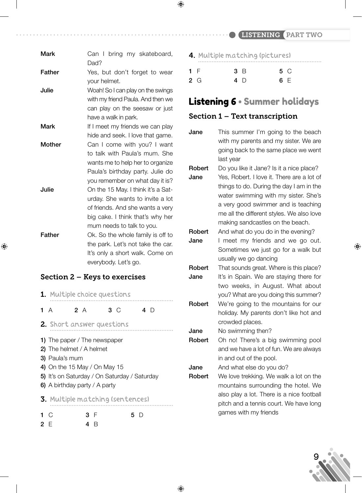LISTENING PART TWO

| <b>Mark</b>                          | Can I bring my skateboard,<br>Dad?                                                                                                                                          |  |  |  |
|--------------------------------------|-----------------------------------------------------------------------------------------------------------------------------------------------------------------------------|--|--|--|
| <b>Father</b>                        | Yes, but don't forget to wear<br>your helmet.                                                                                                                               |  |  |  |
| Julie                                | Woah! So I can play on the swings<br>with my friend Paula. And then we<br>can play on the seesaw or just<br>have a walk in park.                                            |  |  |  |
| Mark                                 | If I meet my friends we can play<br>hide and seek. I love that game.                                                                                                        |  |  |  |
| Mother                               | Can I come with you? I want<br>to talk with Paula's mum. She<br>wants me to help her to organize<br>Paula's birthday party. Julie do<br>you remember on what day it is?     |  |  |  |
| Julie                                | On the 15 May. I think it's a Sat-<br>urday. She wants to invite a lot<br>of friends. And she wants a very<br>big cake. I think that's why her<br>mum needs to talk to you. |  |  |  |
| Father                               | Ok. So the whole family is off to<br>the park. Let's not take the car.<br>It's only a short walk. Come on<br>everybody. Let's go.                                           |  |  |  |
| <b>Section 2 – Keys to exercises</b> |                                                                                                                                                                             |  |  |  |

⊕

|                               | <b>1.</b> Multiple choice questions                                                                                                                               |     |  |           |     |  |
|-------------------------------|-------------------------------------------------------------------------------------------------------------------------------------------------------------------|-----|--|-----------|-----|--|
|                               | 1 $A$                                                                                                                                                             | 2A  |  | $3^\circ$ | 4 D |  |
|                               | 2. Short answer questions                                                                                                                                         |     |  |           |     |  |
| 6) A birthday party / A party | 1) The paper / The newspaper<br>2) The helmet / A helmet<br><b>3)</b> Paula's mum<br>4) On the 15 May / On May 15<br>5) It's on Saturday / On Saturday / Saturday |     |  |           |     |  |
|                               | <b>3.</b> Multiple matching (sentences)                                                                                                                           |     |  |           |     |  |
| 2 F                           | 1 $\circ$                                                                                                                                                         | 3 F |  |           | 5 D |  |

|     | 4. Multiple matching (pictures) |     |
|-----|---------------------------------|-----|
| 1 F | 3 B                             | 5 C |
| 2 G | 4 D                             | 6 F |

 $\bigoplus$ 

# Listening 6 • Summer holidays

#### Section 1 – Text transcription

**Jane** This summer I'm going to the beach with my parents and my sister. We are going back to the same place we went last year

**Robert** Do you like it Jane? Is it a nice place?

**Jane** Yes, Robert. I love it. There are a lot of things to do. During the day I am in the water swimming with my sister. She's a very good swimmer and is teaching me all the different styles. We also love making sandcastles on the beach.

**Robert** And what do you do in the evening?

**Jane** I meet my friends and we go out. Sometimes we just go for a walk but usually we go dancing

- **Robert** That sounds great. Where is this place? **Jane** It's in Spain. We are staying there for two weeks, in August. What about you? What are you doing this summer?
- **Robert** We're going to the mountains for our holiday. My parents don't like hot and crowded places.

**Jane** No swimming then?

**Robert** Oh no! There's a big swimming pool and we have a lot of fun. We are always in and out of the pool.

**Jane** And what else do you do?

**Robert** We love trekking. We walk a lot on the mountains surrounding the hotel. We also play a lot. There is a nice football pitch and a tennis court. We have long games with my friends



⊕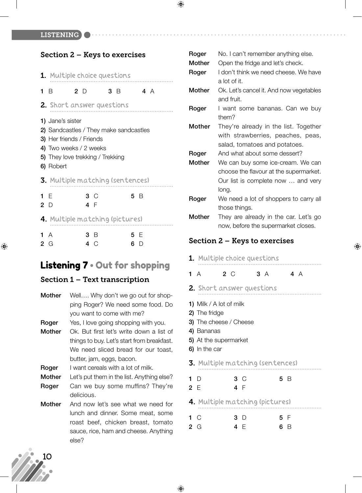LISTENING

Section 2 – Keys to exercises

|                                        | Section 2 – reys to exercises                                                                                                                                     |               |  |         |          |  |
|----------------------------------------|-------------------------------------------------------------------------------------------------------------------------------------------------------------------|---------------|--|---------|----------|--|
|                                        | <b>1.</b> Multiple choice questions                                                                                                                               |               |  |         |          |  |
|                                        | 1 B                                                                                                                                                               | 2 D           |  | 3 B 4 A |          |  |
|                                        | <b>2.</b> Short answer questions                                                                                                                                  |               |  |         |          |  |
|                                        | 1) Jane's sister<br>2) Sandcastles / They make sandcastles<br>3) Her friends / Friends<br>4) Two weeks / 2 weeks<br>5) They love trekking / Trekking<br>6) Robert |               |  |         |          |  |
|                                        | <b>3.</b> Multiple matching (sentences)                                                                                                                           |               |  |         |          |  |
|                                        | 1 E<br>2 $\Box$                                                                                                                                                   | 3 C<br>4 F    |  |         | 5 B      |  |
| <b>4.</b> Multiple matching (pictures) |                                                                                                                                                                   |               |  |         |          |  |
| $\overline{2}$                         | 1A<br>G                                                                                                                                                           | 3 B<br>C<br>4 |  | 6       | 5 F<br>D |  |

## Listening 7 • Out for shopping

#### Section 1 – Text transcription

- **Mother** Well…. Why don't we go out for shopping Roger? We need some food. Do you want to come with me? **Roger** Yes, I love going shopping with you. **Mother** Ok. But first let's write down a list of things to buy. Let's start from breakfast. We need sliced bread for our toast, butter, jam, eggs, bacon. **Roger** I want cereals with a lot of milk. **Mother** Let's put them in the list. Anything else? **Roger** Can we buy some muffins? They're
- **Mother** And now let's see what we need for lunch and dinner. Some meat, some roast beef, chicken breast, tomato sauce, rice, ham and cheese. Anything else?

delicious.

### **Roger** No. I can't remember anything else. **Mother** Open the fridge and let's check. **Roger** I don't think we need cheese. We have a lot of it. **Mother** Ok. Let's cancel it. And now vegetables and fruit. **Roger** I want some bananas. Can we buy them? **Mother** They're already in the list. Together with strawberries, peaches, peas, salad, tomatoes and potatoes. **Roger** And what about some dessert? **Mother** We can buy some ice-cream. We can choose the flavour at the supermarket. Our list is complete now … and very long. **Roger** We need a lot of shoppers to carry all those things. **Mother** They are already in the car. Let's go now, before the supermarket closes.

#### Section 2 – Keys to exercises

⊕

|                    | <b>1.</b> Multiple choice questions                                                                                        |                  |                |
|--------------------|----------------------------------------------------------------------------------------------------------------------------|------------------|----------------|
| 1A                 | $2^{\circ}$                                                                                                                |                  | 3 A 4 A        |
|                    | 2. Short answer questions                                                                                                  |                  |                |
|                    | 1) Milk / A lot of milk<br>2) The fridge<br>3) The cheese / Cheese<br>4) Bananas<br>5) At the supermarket<br>6) In the car |                  |                |
|                    | <b>3.</b> Multiple matching (sentences)                                                                                    |                  |                |
| 1 D<br>2E          |                                                                                                                            | $3^\circ$<br>4 F | 5 B            |
|                    | <b>4.</b> Multiple matching (pictures)                                                                                     |                  |                |
| $1 \circ$<br>$2_G$ |                                                                                                                            | 3 D<br>4 F       | 5 F<br>6.<br>B |



⊕

 $\bigoplus$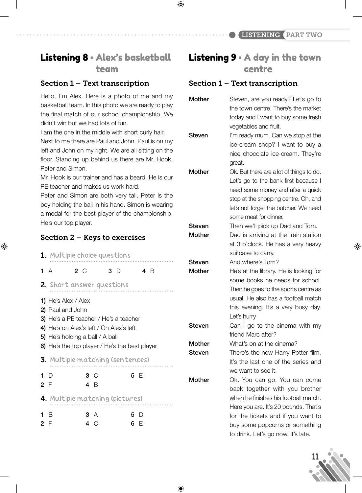# Listening 8 • Alex's basketball team

#### Section 1 – Text transcription

Hello, I'm Alex. Here is a photo of me and my basketball team. In this photo we are ready to play the final match of our school championship. We didn't win but we had lots of fun.

I am the one in the middle with short curly hair. Next to me there are Paul and John. Paul is on my left and John on my right. We are all sitting on the floor. Standing up behind us there are Mr. Hook, Peter and Simon.

Mr. Hook is our trainer and has a beard. He is our PE teacher and makes us work hard.

Peter and Simon are both very tall. Peter is the boy holding the ball in his hand. Simon is wearing a medal for the best player of the championship. He's our top player.

#### Section 2 – Keys to exercises

 $\bigoplus$ 

|                   | <b>1.</b> Multiple choice questions                                                                                                                                                                                    |            |         |                        |
|-------------------|------------------------------------------------------------------------------------------------------------------------------------------------------------------------------------------------------------------------|------------|---------|------------------------|
| 1A                | 2 C                                                                                                                                                                                                                    |            | $3\Box$ | 4 B                    |
|                   | 2. Short answer questions                                                                                                                                                                                              |            |         |                        |
|                   | 1) He's Alex / Alex<br>2) Paul and John<br><b>3)</b> He's a PE teacher / He's a teacher<br>4) He's on Alex's left / On Alex's left<br>5) He's holding a ball / A ball<br>6) He's the top player / He's the best player |            |         |                        |
|                   | <b>3.</b> Multiple matching (sentences)                                                                                                                                                                                |            |         |                        |
| 1 $\Gamma$<br>2 F |                                                                                                                                                                                                                        | 3 C<br>4 R |         | 5 E                    |
|                   | 4. Multiple matching (pictures)                                                                                                                                                                                        |            |         |                        |
| 1 B<br>2 F        |                                                                                                                                                                                                                        | 3 A<br>4   | C       | 5.<br>$\Box$<br>6<br>⊢ |

# Listening 9 • A day in the town centre

#### Section 1 – Text transcription

| <b>Mother</b> | Steven, are you ready? Let's go to       |
|---------------|------------------------------------------|
|               | the town centre. There's the market      |
|               | today and I want to buy some fresh       |
|               | vegetables and fruit.                    |
| Steven        | I'm ready mum. Can we stop at the        |
|               | ice-cream shop? I want to buy a          |
|               | nice chocolate ice-cream. They're        |
|               | great.                                   |
| <b>Mother</b> | Ok. But there are a lot of things to do. |
|               | Let's go to the bank first because I     |
|               | need some money and after a quick        |
|               | stop at the shopping centre. Oh, and     |
|               | let's not forget the butcher. We need    |
|               | some meat for dinner.                    |
| Steven        | Then we'll pick up Dad and Tom.          |
| Mother        | Dad is arriving at the train station     |
|               | at 3 o'clock. He has a very heavy        |
|               | suitcase to carry.                       |
| Steven        | And where's Tom?                         |
| Mother        | He's at the library. He is looking for   |
|               | some books he needs for school.          |
|               | Then he goes to the sports centre as     |
|               | usual. He also has a football match      |
|               | this evening. It's a very busy day.      |
|               | Let's hurry                              |
| Steven        | Can I go to the cinema with my           |
|               | friend Marc after?                       |
| Mother        | What's on at the cinema?                 |
| Steven        | There's the new Harry Potter film.       |
|               | It's the last one of the series and      |
|               | we want to see it.                       |
| <b>Mother</b> | Ok. You can go. You can come             |
|               | back together with you brother           |
|               | when he finishes his football match.     |
|               | Here you are. It's 20 pounds. That's     |
|               | for the tickets and if you want to       |
|               |                                          |
|               | buy some popcorns or something           |



♠

 $\bigoplus$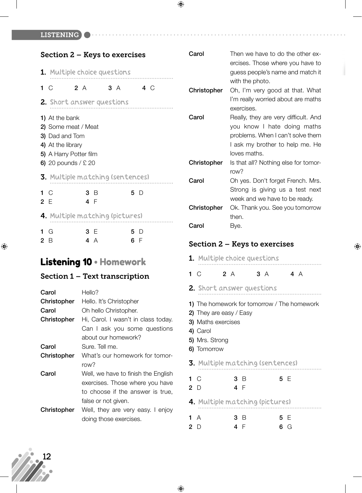LISTENING

| <b>Section 2 – Keys to exercises</b> |                                                                                                                                        |  |                  |  |  |  |
|--------------------------------------|----------------------------------------------------------------------------------------------------------------------------------------|--|------------------|--|--|--|
| <b>1.</b> Multiple choice questions  |                                                                                                                                        |  |                  |  |  |  |
| 1 $\circ$                            | 2 A                                                                                                                                    |  | 3 A 4 C          |  |  |  |
| 2. Short answer questions            |                                                                                                                                        |  |                  |  |  |  |
|                                      | <b>1)</b> At the bank<br>2) Some meat / Meat<br>3) Dad and Tom<br>4) At the library<br>5) A Harry Potter film<br>6) 20 pounds / $£$ 20 |  |                  |  |  |  |
| 3. Multiple matching (sentences)     |                                                                                                                                        |  |                  |  |  |  |
| 1 $\circ$<br>2 E                     | 3 B<br>4 F                                                                                                                             |  | 5 D              |  |  |  |
| 4. Multiple matching (pictures)      |                                                                                                                                        |  |                  |  |  |  |
| G<br>1.<br>2<br>B                    | 3 F<br>4<br>A                                                                                                                          |  | 5<br>D<br>6<br>F |  |  |  |

# Listening 10 • Homework

## Section 1 – Text transcription

| Carol       | Hello?                              |
|-------------|-------------------------------------|
| Christopher | Hello. It's Christopher             |
| Carol       | Oh hello Christopher.               |
| Christopher | Hi, Carol. I wasn't in class today. |
|             | Can I ask you some questions        |
|             | about our homework?                 |
| Carol       | Sure. Tell me.                      |
| Christopher | What's our homework for tomor-      |
|             | row?                                |
| Carol       | Well, we have to finish the English |
|             | exercises. Those where you have     |
|             | to choose if the answer is true,    |
|             | false or not given.                 |
| Christopher | Well, they are very easy. I enjoy   |
|             | doing those exercises.              |

| ercises. Those where you have to<br>guess people's name and match it<br>with the photo.<br>Christopher<br>Oh, I'm very good at that. What<br>I'm really worried about are maths<br>exercises.<br>Carol<br>Really, they are very difficult. And<br>you know I hate doing maths<br>problems. When I can't solve them<br>I ask my brother to help me. He<br>loves maths.<br>Christopher<br>Is that all? Nothing else for tomor-<br>row?<br>Carol<br>Oh yes. Don't forget French. Mrs.<br>Strong is giving us a test next<br>week and we have to be ready.<br>Christopher<br>Ok. Thank you. See you tomorrow<br>then.<br>Carol<br>Bye.<br><b>Section 2 – Keys to exercises</b><br>1. Multiple choice questions<br>2A<br>4A<br>$1\,C$<br>3A<br>2. Short answer questions<br>1) The homework for tomorrow / The homework | 2) They are easy / Easy<br>3) Maths exercises | Carol | Then we have to do the other ex- |  |
|--------------------------------------------------------------------------------------------------------------------------------------------------------------------------------------------------------------------------------------------------------------------------------------------------------------------------------------------------------------------------------------------------------------------------------------------------------------------------------------------------------------------------------------------------------------------------------------------------------------------------------------------------------------------------------------------------------------------------------------------------------------------------------------------------------------------|-----------------------------------------------|-------|----------------------------------|--|
|                                                                                                                                                                                                                                                                                                                                                                                                                                                                                                                                                                                                                                                                                                                                                                                                                    |                                               |       |                                  |  |
|                                                                                                                                                                                                                                                                                                                                                                                                                                                                                                                                                                                                                                                                                                                                                                                                                    |                                               |       |                                  |  |
|                                                                                                                                                                                                                                                                                                                                                                                                                                                                                                                                                                                                                                                                                                                                                                                                                    |                                               |       |                                  |  |
|                                                                                                                                                                                                                                                                                                                                                                                                                                                                                                                                                                                                                                                                                                                                                                                                                    |                                               |       |                                  |  |
|                                                                                                                                                                                                                                                                                                                                                                                                                                                                                                                                                                                                                                                                                                                                                                                                                    |                                               |       |                                  |  |
|                                                                                                                                                                                                                                                                                                                                                                                                                                                                                                                                                                                                                                                                                                                                                                                                                    |                                               |       |                                  |  |
|                                                                                                                                                                                                                                                                                                                                                                                                                                                                                                                                                                                                                                                                                                                                                                                                                    |                                               |       |                                  |  |
|                                                                                                                                                                                                                                                                                                                                                                                                                                                                                                                                                                                                                                                                                                                                                                                                                    |                                               |       |                                  |  |
|                                                                                                                                                                                                                                                                                                                                                                                                                                                                                                                                                                                                                                                                                                                                                                                                                    |                                               |       |                                  |  |
|                                                                                                                                                                                                                                                                                                                                                                                                                                                                                                                                                                                                                                                                                                                                                                                                                    |                                               |       |                                  |  |
|                                                                                                                                                                                                                                                                                                                                                                                                                                                                                                                                                                                                                                                                                                                                                                                                                    |                                               |       |                                  |  |
|                                                                                                                                                                                                                                                                                                                                                                                                                                                                                                                                                                                                                                                                                                                                                                                                                    |                                               |       |                                  |  |
|                                                                                                                                                                                                                                                                                                                                                                                                                                                                                                                                                                                                                                                                                                                                                                                                                    |                                               |       |                                  |  |
|                                                                                                                                                                                                                                                                                                                                                                                                                                                                                                                                                                                                                                                                                                                                                                                                                    |                                               |       |                                  |  |
|                                                                                                                                                                                                                                                                                                                                                                                                                                                                                                                                                                                                                                                                                                                                                                                                                    |                                               |       |                                  |  |
|                                                                                                                                                                                                                                                                                                                                                                                                                                                                                                                                                                                                                                                                                                                                                                                                                    |                                               |       |                                  |  |
|                                                                                                                                                                                                                                                                                                                                                                                                                                                                                                                                                                                                                                                                                                                                                                                                                    |                                               |       |                                  |  |
|                                                                                                                                                                                                                                                                                                                                                                                                                                                                                                                                                                                                                                                                                                                                                                                                                    |                                               |       |                                  |  |
|                                                                                                                                                                                                                                                                                                                                                                                                                                                                                                                                                                                                                                                                                                                                                                                                                    |                                               |       |                                  |  |
|                                                                                                                                                                                                                                                                                                                                                                                                                                                                                                                                                                                                                                                                                                                                                                                                                    |                                               |       |                                  |  |
|                                                                                                                                                                                                                                                                                                                                                                                                                                                                                                                                                                                                                                                                                                                                                                                                                    |                                               |       |                                  |  |
|                                                                                                                                                                                                                                                                                                                                                                                                                                                                                                                                                                                                                                                                                                                                                                                                                    |                                               |       |                                  |  |
|                                                                                                                                                                                                                                                                                                                                                                                                                                                                                                                                                                                                                                                                                                                                                                                                                    |                                               |       |                                  |  |
|                                                                                                                                                                                                                                                                                                                                                                                                                                                                                                                                                                                                                                                                                                                                                                                                                    |                                               |       |                                  |  |
|                                                                                                                                                                                                                                                                                                                                                                                                                                                                                                                                                                                                                                                                                                                                                                                                                    |                                               |       |                                  |  |
|                                                                                                                                                                                                                                                                                                                                                                                                                                                                                                                                                                                                                                                                                                                                                                                                                    |                                               |       |                                  |  |
|                                                                                                                                                                                                                                                                                                                                                                                                                                                                                                                                                                                                                                                                                                                                                                                                                    |                                               |       |                                  |  |
|                                                                                                                                                                                                                                                                                                                                                                                                                                                                                                                                                                                                                                                                                                                                                                                                                    | 4) Carol                                      |       |                                  |  |

 $\bigoplus$ 

- **5)** Mrs. Strong
- **6)** Tomorrow

 $\bigoplus$ 

3. Multiple matching (sentences)

| 2 D | $1 \, C$ | 3 B<br>4 F                      | 5 F |
|-----|----------|---------------------------------|-----|
|     |          | 4. Multiple matching (pictures) |     |

| 1 A | $3 \quad B$ | 5 E |
|-----|-------------|-----|
| 2D  | 4 F         | 6 G |



 $\bigoplus$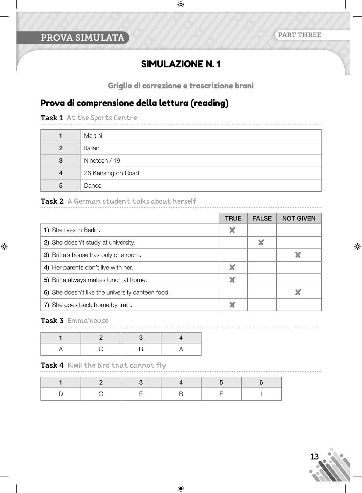#### PART THREE

# SIMULAZIONE N. 1

Griglia di correzione e trascrizione brani

# Prova di comprensione della lettura (reading)

Task 1 At the Sports Centre

|                | Martini            |
|----------------|--------------------|
| $\overline{2}$ | Italian            |
| 3              | Nineteen / 19      |
| 4              | 26 Kensington Road |
| 5              | Dance              |

#### Task 2 A German student talks about herself

|                                                  | <b>TRUE</b> | <b>FALSE</b> | <b>NOT GIVEN</b> |
|--------------------------------------------------|-------------|--------------|------------------|
| 1) She lives in Berlin.                          |             |              |                  |
| 2) She doesn't study at university.              |             | ×            |                  |
| 3) Britta's house has only one room.             |             |              |                  |
| 4) Her parents don't live with her.              |             |              |                  |
| 5) Britta always makes lunch at home.            |             |              |                  |
| 6) She doesn't like the university canteen food. |             |              |                  |
| 7) She goes back home by train.                  |             |              |                  |

#### Task 3 Emmathouse

 $\bigoplus$ 

Task 4 Kiwi: the bird that cannot fly



⊕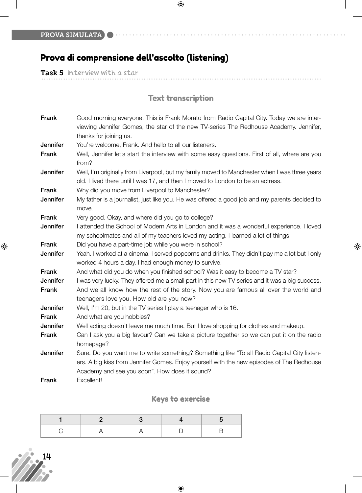# Prova di comprensione dell'ascolto (listening)

Task 5 Interview with a star

# Text transcription

 $\bigoplus$ 

 $\bigoplus$ 

| Frank           | Good morning everyone. This is Frank Morato from Radio Capital City. Today we are inter-       |
|-----------------|------------------------------------------------------------------------------------------------|
|                 | viewing Jennifer Gomes, the star of the new TV-series The Redhouse Academy. Jennifer,          |
|                 | thanks for joining us.                                                                         |
| Jennifer        | You're welcome, Frank. And hello to all our listeners.                                         |
| Frank           | Well, Jennifer let's start the interview with some easy questions. First of all, where are you |
|                 | from?                                                                                          |
| Jennifer        | Well, I'm originally from Liverpool, but my family moved to Manchester when I was three years  |
|                 | old. I lived there until I was 17, and then I moved to London to be an actress.                |
| Frank           | Why did you move from Liverpool to Manchester?                                                 |
| Jennifer        | My father is a journalist, just like you. He was offered a good job and my parents decided to  |
|                 | move.                                                                                          |
| Frank           | Very good. Okay, and where did you go to college?                                              |
| <b>Jennifer</b> | I attended the School of Modern Arts in London and it was a wonderful experience. I loved      |
|                 | my schoolmates and all of my teachers loved my acting. I learned a lot of things.              |
| Frank           | Did you have a part-time job while you were in school?                                         |
| Jennifer        | Yeah. I worked at a cinema. I served popcorns and drinks. They didn't pay me a lot but I only  |
|                 | worked 4 hours a day. I had enough money to survive.                                           |
| Frank           | And what did you do when you finished school? Was it easy to become a TV star?                 |
| Jennifer        | I was very lucky. They offered me a small part in this new TV series and it was a big success. |
| Frank           | And we all know how the rest of the story. Now you are famous all over the world and           |
|                 | teenagers love you. How old are you now?                                                       |
| <b>Jennifer</b> | Well, I'm 20, but in the TV series I play a teenager who is 16.                                |
| Frank           | And what are you hobbies?                                                                      |
| Jennifer        | Well acting doesn't leave me much time. But I love shopping for clothes and makeup.            |
| Frank           | Can I ask you a big favour? Can we take a picture together so we can put it on the radio       |
|                 | homepage?                                                                                      |
| Jennifer        | Sure. Do you want me to write something? Something like "To all Radio Capital City listen-     |
|                 | ers. A big kiss from Jennifer Gomes. Enjoy yourself with the new episodes of The Redhouse      |
|                 | Academy and see you soon". How does it sound?                                                  |
| Frank           | Excellent!                                                                                     |

## Keys to exercise

# 14

 $\bigoplus$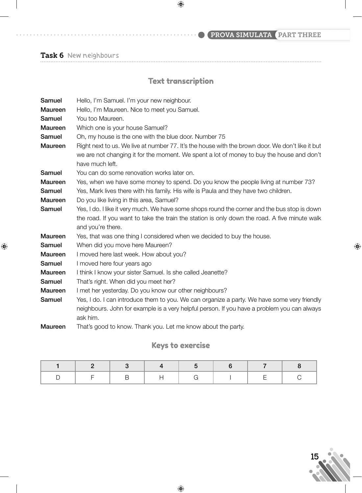# PROVA SIMULATA (PART THREE

Task 6 New neighbours

 $\bigoplus$ 

# Text transcription

 $\bigoplus$ 

| Samuel         | Hello, I'm Samuel. I'm your new neighbour.                                                       |
|----------------|--------------------------------------------------------------------------------------------------|
| <b>Maureen</b> | Hello, I'm Maureen. Nice to meet you Samuel.                                                     |
| Samuel         | You too Maureen.                                                                                 |
| Maureen        | Which one is your house Samuel?                                                                  |
| Samuel         | Oh, my house is the one with the blue door. Number 75                                            |
| <b>Maureen</b> | Right next to us. We live at number 77. It's the house with the brown door. We don't like it but |
|                | we are not changing it for the moment. We spent a lot of money to buy the house and don't        |
|                | have much left.                                                                                  |
| Samuel         | You can do some renovation works later on.                                                       |
| Maureen        | Yes, when we have some money to spend. Do you know the people living at number 73?               |
| Samuel         | Yes, Mark lives there with his family. His wife is Paula and they have two children.             |
| Maureen        | Do you like living in this area, Samuel?                                                         |
| Samuel         | Yes, I do. I like it very much. We have some shops round the corner and the bus stop is down     |
|                | the road. If you want to take the train the station is only down the road. A five minute walk    |
|                | and you're there.                                                                                |
| Maureen        | Yes, that was one thing I considered when we decided to buy the house.                           |
| Samuel         | When did you move here Maureen?                                                                  |
| Maureen        | I moved here last week. How about you?                                                           |
| Samuel         | I moved here four years ago                                                                      |
| Maureen        | I think I know your sister Samuel. Is she called Jeanette?                                       |
| Samuel         | That's right. When did you meet her?                                                             |
| <b>Maureen</b> | I met her yesterday. Do you know our other neighbours?                                           |
| Samuel         | Yes, I do. I can introduce them to you. We can organize a party. We have some very friendly      |
|                | neighbours. John for example is a very helpful person. If you have a problem you can always      |
|                | ask him.                                                                                         |
| Maureen        | That's good to know. Thank you. Let me know about the party.                                     |

## Keys to exercise

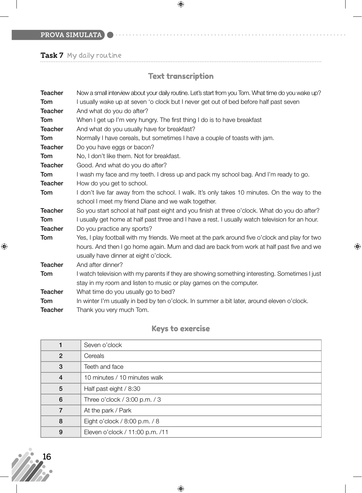PROVA SIMULATA

Task 7 My daily routine

# Text transcription

 $\bigoplus$ 

 $\bigoplus$ 

| <b>Teacher</b> | Now a small interview about your daily routine. Let's start from you Tom. What time do you wake up? |
|----------------|-----------------------------------------------------------------------------------------------------|
| Tom            | I usually wake up at seven 'o clock but I never get out of bed before half past seven               |
| <b>Teacher</b> | And what do you do after?                                                                           |
| Tom            | When I get up I'm very hungry. The first thing I do is to have breakfast                            |
| <b>Teacher</b> | And what do you usually have for breakfast?                                                         |
| Tom            | Normally I have cereals, but sometimes I have a couple of toasts with jam.                          |
| <b>Teacher</b> | Do you have eggs or bacon?                                                                          |
| Tom            | No, I don't like them. Not for breakfast.                                                           |
| <b>Teacher</b> | Good. And what do you do after?                                                                     |
| Tom            | I wash my face and my teeth. I dress up and pack my school bag. And I'm ready to go.                |
| <b>Teacher</b> | How do you get to school.                                                                           |
| Tom            | I don't live far away from the school. I walk. It's only takes 10 minutes. On the way to the        |
|                | school I meet my friend Diane and we walk together.                                                 |
| <b>Teacher</b> | So you start school at half past eight and you finish at three o'clock. What do you do after?       |
| Tom            | I usually get home at half past three and I have a rest. I usually watch television for an hour.    |
| <b>Teacher</b> | Do you practice any sports?                                                                         |
| Tom            | Yes, I play football with my friends. We meet at the park around five o'clock and play for two      |
|                | hours. And then I go home again. Mum and dad are back from work at half past five and we            |
|                | usually have dinner at eight o'clock.                                                               |
| <b>Teacher</b> | And after dinner?                                                                                   |
| Tom            | I watch television with my parents if they are showing something interesting. Sometimes I just      |
|                | stay in my room and listen to music or play games on the computer.                                  |
| <b>Teacher</b> | What time do you usually go to bed?                                                                 |
| Tom            | In winter I'm usually in bed by ten o'clock. In summer a bit later, around eleven o'clock.          |
| <b>Teacher</b> | Thank you very much Tom.                                                                            |

# Keys to exercise

|                | Seven o'clock                     |
|----------------|-----------------------------------|
| $\overline{2}$ | Cereals                           |
| 3              | Teeth and face                    |
| 4              | 10 minutes / 10 minutes walk      |
| 5              | Half past eight / 8:30            |
| 6              | Three o'clock / $3:00$ p.m. / $3$ |
|                | At the park / Park                |
| 8              | Eight o'clock / 8:00 p.m. / 8     |
| 9              | Eleven o'clock / 11:00 p.m. /11   |



 $\bigoplus$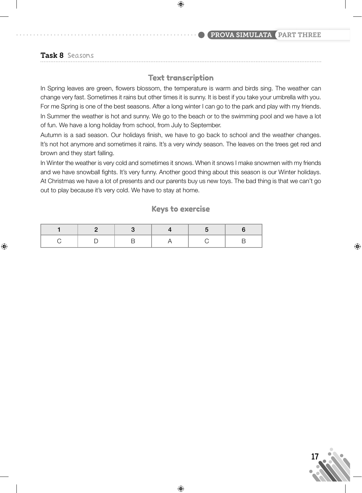#### PROVA SIMULATA PART THREE

#### Task 8 Seasons

⊕

#### Text transcription

 $\bigoplus$ 

In Spring leaves are green, flowers blossom, the temperature is warm and birds sing. The weather can change very fast. Sometimes it rains but other times it is sunny. It is best if you take your umbrella with you. For me Spring is one of the best seasons. After a long winter I can go to the park and play with my friends. In Summer the weather is hot and sunny. We go to the beach or to the swimming pool and we have a lot of fun. We have a long holiday from school, from July to September.

Autumn is a sad season. Our holidays finish, we have to go back to school and the weather changes. It's not hot anymore and sometimes it rains. It's a very windy season. The leaves on the trees get red and brown and they start falling.

In Winter the weather is very cold and sometimes it snows. When it snows I make snowmen with my friends and we have snowball fights. It's very funny. Another good thing about this season is our Winter holidays. At Christmas we have a lot of presents and our parents buy us new toys. The bad thing is that we can't go out to play because it's very cold. We have to stay at home.

#### Keys to exercise



⊕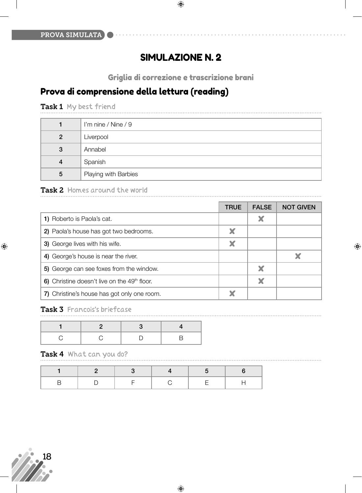# SIMULAZIONE N. 2

 $\bigoplus$ 

Griglia di correzione e trascrizione brani

⊕

# Prova di comprensione della lettura (reading)

Task 1 My best friend

|                | I'm nine / Nine / 9  |
|----------------|----------------------|
| $\overline{2}$ | Liverpool            |
| $\mathbf{3}$   | Annabel              |
| 4              | Spanish              |
| 5              | Playing with Barbies |

#### Task 2 Homes around the world

|                                                          | <b>TRUE</b> | <b>FALSE</b> | <b>NOT GIVEN</b> |
|----------------------------------------------------------|-------------|--------------|------------------|
| 1) Roberto is Paola's cat.                               |             | X            |                  |
| 2) Paola's house has got two bedrooms.                   | X           |              |                  |
| 3) George lives with his wife.                           |             |              |                  |
| 4) George's house is near the river.                     |             |              |                  |
| 5) George can see foxes from the window.                 |             |              |                  |
| 6) Christine doesn't live on the 49 <sup>th</sup> floor. |             | X            |                  |
| 7) Christine's house has got only one room.              |             |              |                  |

#### Task 3 Francois's briefcase

#### Task 4 What can you do?

B | D | F | C | E | H

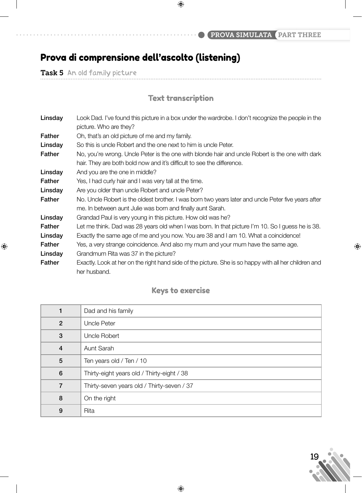PROVA SIMULATA PART THREE

# Prova di comprensione dell'ascolto (listening)

Task 5 An old family picture

 $\bigoplus$ 

# Text transcription

| Linsday | Look Dad. I've found this picture in a box under the wardrobe. I don't recognize the people in the<br>picture. Who are they?                                      |
|---------|-------------------------------------------------------------------------------------------------------------------------------------------------------------------|
| Father  | Oh, that's an old picture of me and my family.                                                                                                                    |
| Linsday | So this is uncle Robert and the one next to him is uncle Peter.                                                                                                   |
| Father  | No, you're wrong. Uncle Peter is the one with blonde hair and uncle Robert is the one with dark                                                                   |
|         | hair. They are both bold now and it's difficult to see the difference.                                                                                            |
| Linsday | And you are the one in middle?                                                                                                                                    |
| Father  | Yes, I had curly hair and I was very tall at the time.                                                                                                            |
| Linsday | Are you older than uncle Robert and uncle Peter?                                                                                                                  |
| Father  | No. Uncle Robert is the oldest brother. I was born two years later and uncle Peter five years after<br>me. In between aunt Julie was born and finally aunt Sarah. |
| Linsday | Grandad Paul is very young in this picture. How old was he?                                                                                                       |
| Father  | Let me think. Dad was 28 years old when I was born. In that picture I'm 10. So I guess he is 38.                                                                  |
| Linsday | Exactly the same age of me and you now. You are 38 and I am 10. What a coincidence!                                                                               |
| Father  | Yes, a very strange coincidence. And also my mum and your mum have the same age.                                                                                  |
| Linsday | Grandmum Rita was 37 in the picture?                                                                                                                              |
| Father  | Exactly. Look at her on the right hand side of the picture. She is so happy with all her children and<br>her husband.                                             |

## Keys to exercise

|                 | Dad and his family                         |
|-----------------|--------------------------------------------|
| $\overline{2}$  | <b>Uncle Peter</b>                         |
| 3               | <b>Uncle Robert</b>                        |
| $\overline{4}$  | Aunt Sarah                                 |
| 5               | Ten years old / Ten / 10                   |
| $6\phantom{1}6$ | Thirty-eight years old / Thirty-eight / 38 |
| 7               | Thirty-seven years old / Thirty-seven / 37 |
| 8               | On the right                               |
| 9               | Rita                                       |

 $\bigoplus$ 

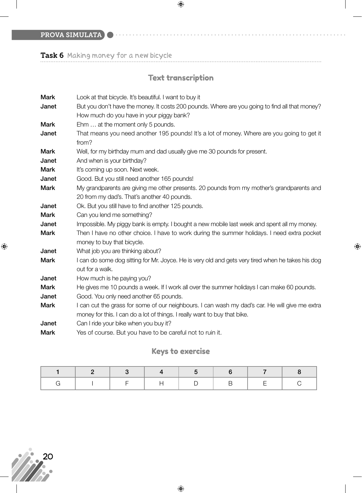PROVA SIMULATA

Task 6 Making money for a new bicycle

# Text transcription

 $\bigoplus$ 

 $\bigoplus$ 

| Mark        | Look at that bicycle. It's beautiful. I want to buy it                                            |
|-------------|---------------------------------------------------------------------------------------------------|
| Janet       | But you don't have the money. It costs 200 pounds. Where are you going to find all that money?    |
|             | How much do you have in your piggy bank?                                                          |
| <b>Mark</b> | Ehm  at the moment only 5 pounds.                                                                 |
| Janet       | That means you need another 195 pounds! It's a lot of money. Where are you going to get it        |
|             | from?                                                                                             |
| <b>Mark</b> | Well, for my birthday mum and dad usually give me 30 pounds for present.                          |
| Janet       | And when is your birthday?                                                                        |
| <b>Mark</b> | It's coming up soon. Next week.                                                                   |
| Janet       | Good. But you still need another 165 pounds!                                                      |
| <b>Mark</b> | My grandparents are giving me other presents. 20 pounds from my mother's grandparents and         |
|             | 20 from my dad's. That's another 40 pounds.                                                       |
| Janet       | Ok. But you still have to find another 125 pounds.                                                |
| <b>Mark</b> | Can you lend me something?                                                                        |
| Janet       | Impossible. My piggy bank is empty. I bought a new mobile last week and spent all my money.       |
| <b>Mark</b> | Then I have no other choice. I have to work during the summer holidays. I need extra pocket       |
|             | money to buy that bicycle.                                                                        |
| Janet       | What job you are thinking about?                                                                  |
| <b>Mark</b> | I can do some dog sitting for Mr. Joyce. He is very old and gets very tired when he takes his dog |
|             | out for a walk.                                                                                   |
| Janet       | How much is he paying you?                                                                        |
| <b>Mark</b> | He gives me 10 pounds a week. If I work all over the summer holidays I can make 60 pounds.        |
| Janet       | Good. You only need another 65 pounds.                                                            |
| <b>Mark</b> | I can cut the grass for some of our neighbours. I can wash my dad's car. He will give me extra    |
|             | money for this. I can do a lot of things. I really want to buy that bike.                         |
| Janet       | Can I ride your bike when you buy it?                                                             |
| <b>Mark</b> | Yes of course. But you have to be careful not to ruin it.                                         |

## Keys to exercise



 $\bigoplus$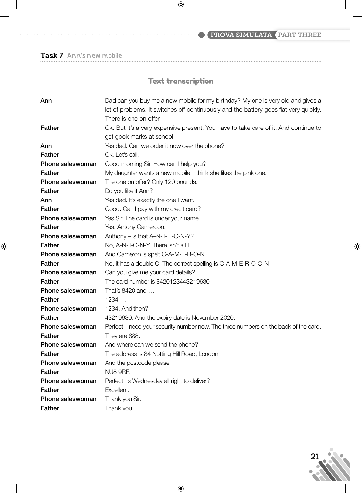# PROVA SIMULATA (PART THREE

Task 7 Ann's new mobile

 $\mathbf{I}$ 

 $\bigoplus$ 

# Text transcription

 $\bigoplus$ 

| Ann              | Dad can you buy me a new mobile for my birthday? My one is very old and gives a       |  |  |  |  |
|------------------|---------------------------------------------------------------------------------------|--|--|--|--|
|                  | lot of problems. It switches off continuously and the battery goes flat very quickly. |  |  |  |  |
|                  | There is one on offer.                                                                |  |  |  |  |
| <b>Father</b>    | Ok. But it's a very expensive present. You have to take care of it. And continue to   |  |  |  |  |
|                  | get gook marks at school.                                                             |  |  |  |  |
| Ann              | Yes dad. Can we order it now over the phone?                                          |  |  |  |  |
| <b>Father</b>    | Ok. Let's call.                                                                       |  |  |  |  |
| Phone saleswoman | Good morning Sir. How can I help you?                                                 |  |  |  |  |
| <b>Father</b>    | My daughter wants a new mobile. I think she likes the pink one.                       |  |  |  |  |
| Phone saleswoman | The one on offer? Only 120 pounds.                                                    |  |  |  |  |
| Father           | Do you like it Ann?                                                                   |  |  |  |  |
| Ann              | Yes dad. It's exactly the one I want.                                                 |  |  |  |  |
| <b>Father</b>    | Good. Can I pay with my credit card?                                                  |  |  |  |  |
| Phone saleswoman | Yes Sir. The card is under your name.                                                 |  |  |  |  |
| <b>Father</b>    | Yes. Antony Cameroon.                                                                 |  |  |  |  |
| Phone saleswoman | Anthony - is that A-N-T-H-O-N-Y?                                                      |  |  |  |  |
| <b>Father</b>    | No, A-N-T-O-N-Y. There isn't a H.                                                     |  |  |  |  |
| Phone saleswoman | And Cameron is spelt C-A-M-E-R-O-N                                                    |  |  |  |  |
| <b>Father</b>    | No, it has a double O. The correct spelling is C-A-M-E-R-O-O-N                        |  |  |  |  |
| Phone saleswoman | Can you give me your card details?                                                    |  |  |  |  |
| <b>Father</b>    | The card number is 8420123443219630                                                   |  |  |  |  |
| Phone saleswoman | That's 8420 and                                                                       |  |  |  |  |
| <b>Father</b>    | 1234                                                                                  |  |  |  |  |
| Phone saleswoman | 1234. And then?                                                                       |  |  |  |  |
| <b>Father</b>    | 43219630. And the expiry date is November 2020.                                       |  |  |  |  |
| Phone saleswoman | Perfect. I need your security number now. The three numbers on the back of the card.  |  |  |  |  |
| <b>Father</b>    | They are 888.                                                                         |  |  |  |  |
| Phone saleswoman | And where can we send the phone?                                                      |  |  |  |  |
| <b>Father</b>    | The address is 84 Notting Hill Road, London                                           |  |  |  |  |
| Phone saleswoman | And the postcode please                                                               |  |  |  |  |
| <b>Father</b>    | NU8 9RF.                                                                              |  |  |  |  |
| Phone saleswoman | Perfect. Is Wednesday all right to deliver?                                           |  |  |  |  |
| <b>Father</b>    | Excellent.                                                                            |  |  |  |  |
| Phone saleswoman | Thank you Sir.                                                                        |  |  |  |  |
| Father           | Thank you.                                                                            |  |  |  |  |



 $\bigoplus$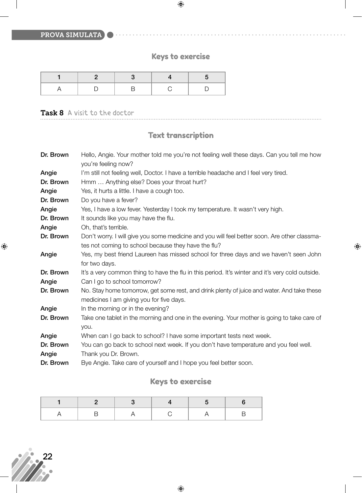PROVA SIMULATA

# Keys to exercise

a a a a a

 $\bigoplus$ 

 $\bigoplus$ 

#### Task 8 A visit to the doctor

## Text transcription

| Dr. Brown | Hello, Angie. Your mother told me you're not feeling well these days. Can you tell me how<br>you're feeling now? |
|-----------|------------------------------------------------------------------------------------------------------------------|
| Angie     | I'm still not feeling well, Doctor. I have a terrible headache and I feel very tired.                            |
| Dr. Brown | Hmm  Anything else? Does your throat hurt?                                                                       |
| Angie     | Yes, it hurts a little. I have a cough too.                                                                      |
| Dr. Brown | Do you have a fever?                                                                                             |
| Angie     | Yes, I have a low fever. Yesterday I took my temperature. It wasn't very high.                                   |
| Dr. Brown | It sounds like you may have the flu.                                                                             |
| Angie     | Oh, that's terrible.                                                                                             |
| Dr. Brown | Don't worry. I will give you some medicine and you will feel better soon. Are other classma-                     |
|           | tes not coming to school because they have the flu?                                                              |
| Angie     | Yes, my best friend Laureen has missed school for three days and we haven't seen John                            |
|           | for two days.                                                                                                    |
| Dr. Brown | It's a very common thing to have the flu in this period. It's winter and it's very cold outside.                 |
| Angie     | Can I go to school tomorrow?                                                                                     |
| Dr. Brown | No. Stay home tomorrow, get some rest, and drink plenty of juice and water. And take these                       |
|           | medicines I am giving you for five days.                                                                         |
| Angie     | In the morning or in the evening?                                                                                |
| Dr. Brown | Take one tablet in the morning and one in the evening. Your mother is going to take care of                      |
|           | you.                                                                                                             |
| Angie     | When can I go back to school? I have some important tests next week.                                             |
| Dr. Brown | You can go back to school next week. If you don't have temperature and you feel well.                            |
| Angie     | Thank you Dr. Brown.                                                                                             |
| Dr. Brown | Bye Angie. Take care of yourself and I hope you feel better soon.                                                |

# Keys to exercise



 $\bigoplus$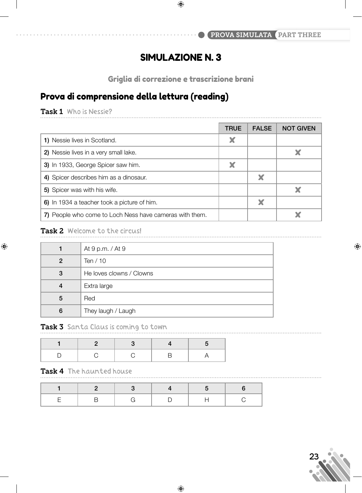# SIMULAZIONE N. 3

Griglia di correzione e trascrizione brani

# Prova di comprensione della lettura (reading)

Task 1 Who is Nessie?

|                                                         | <b>TRUE</b> | <b>FALSE</b> | <b>NOT GIVEN</b> |
|---------------------------------------------------------|-------------|--------------|------------------|
| 1) Nessie lives in Scotland.                            | X           |              |                  |
| 2) Nessie lives in a very small lake.                   |             |              |                  |
| 3) In 1933, George Spicer saw him.                      | X           |              |                  |
| 4) Spicer describes him as a dinosaur.                  |             | X            |                  |
| 5) Spicer was with his wife.                            |             |              |                  |
| 6) In 1934 a teacher took a picture of him.             |             | X            |                  |
| 7) People who come to Loch Ness have cameras with them. |             |              |                  |

#### Task 2 Welcome to the circus!

 $\bigoplus$ 

|   | At 9 p.m. / At 9         |
|---|--------------------------|
| 2 | Ten $/ 10$               |
| 3 | He loves clowns / Clowns |
| 4 | Extra large              |
| 5 | Red                      |
| 6 | They laugh / Laugh       |

Task 3 Santa Claus is coming to town

#### Task 4 The haunted house

 $\bigoplus$ 

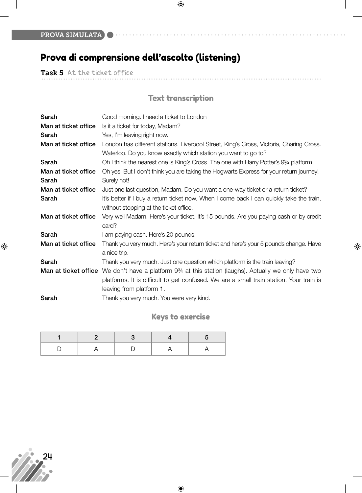# Prova di comprensione dell'ascolto (listening)

Task 5 At the ticket office

# Text transcription

 $\bigoplus$ 

| Sarah                | Good morning. I need a ticket to London                                                                                                                                                                                                           |
|----------------------|---------------------------------------------------------------------------------------------------------------------------------------------------------------------------------------------------------------------------------------------------|
| Man at ticket office | Is it a ticket for today, Madam?                                                                                                                                                                                                                  |
| Sarah                | Yes, I'm leaving right now.                                                                                                                                                                                                                       |
| Man at ticket office | London has different stations. Liverpool Street, King's Cross, Victoria, Charing Cross.<br>Waterloo. Do you know exactly which station you want to go to?                                                                                         |
| Sarah                | Oh I think the nearest one is King's Cross. The one with Harry Potter's 934 platform.                                                                                                                                                             |
| Man at ticket office | Oh yes. But I don't think you are taking the Hogwarts Express for your return journey!                                                                                                                                                            |
| Sarah                | Surely not!                                                                                                                                                                                                                                       |
| Man at ticket office | Just one last question, Madam. Do you want a one-way ticket or a return ticket?                                                                                                                                                                   |
| Sarah                | It's better if I buy a return ticket now. When I come back I can quickly take the train,<br>without stopping at the ticket office.                                                                                                                |
| Man at ticket office | Very well Madam. Here's your ticket. It's 15 pounds. Are you paying cash or by credit<br>card?                                                                                                                                                    |
| Sarah                | I am paying cash. Here's 20 pounds.                                                                                                                                                                                                               |
| Man at ticket office | Thank you very much. Here's your return ticket and here's your 5 pounds change. Have<br>a nice trip.                                                                                                                                              |
| Sarah                | Thank you very much. Just one question which platform is the train leaving?                                                                                                                                                                       |
|                      | <b>Man at ticket office</b> We don't have a platform 9 <sup>3</sup> /4 at this station (laughs). Actually we only have two<br>platforms. It is difficult to get confused. We are a small train station. Your train is<br>leaving from platform 1. |
| Sarah                | Thank you very much. You were very kind.                                                                                                                                                                                                          |

 $\bigoplus$ 

## Keys to exercise



 $\bigoplus$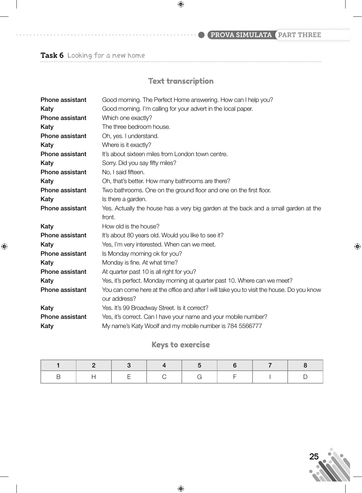# PROVA SIMULATA (PART THREE

Task 6 Looking for a new home

 $\bigoplus$ 

## Text transcription

 $\bigoplus$ 

| Phone assistant        | Good morning. The Perfect Home answering. How can I help you?                             |
|------------------------|-------------------------------------------------------------------------------------------|
| Katy                   | Good morning. I'm calling for your advert in the local paper.                             |
| <b>Phone assistant</b> | Which one exactly?                                                                        |
| Katy                   | The three bedroom house.                                                                  |
| Phone assistant        | Oh, yes. I understand.                                                                    |
| Katy                   | Where is it exactly?                                                                      |
| <b>Phone assistant</b> | It's about sixteen miles from London town centre.                                         |
| Katy                   | Sorry. Did you say fifty miles?                                                           |
| <b>Phone assistant</b> | No, I said fifteen.                                                                       |
| Katy                   | Oh, that's better. How many bathrooms are there?                                          |
| <b>Phone assistant</b> | Two bathrooms. One on the ground floor and one on the first floor.                        |
| Katy                   | Is there a garden.                                                                        |
| <b>Phone assistant</b> | Yes. Actually the house has a very big garden at the back and a small garden at the       |
|                        | front.                                                                                    |
| Katy                   | How old is the house?                                                                     |
| Phone assistant        | It's about 80 years old. Would you like to see it?                                        |
| Katy                   | Yes, I'm very interested. When can we meet.                                               |
| <b>Phone assistant</b> | Is Monday morning ok for you?                                                             |
| Katy                   | Monday is fine. At what time?                                                             |
| <b>Phone assistant</b> | At quarter past 10 is all right for you?                                                  |
| Katy                   | Yes, it's perfect. Monday morning at quarter past 10. Where can we meet?                  |
| <b>Phone assistant</b> | You can come here at the office and after I will take you to visit the house. Do you know |
|                        | our address?                                                                              |
| Katy                   | Yes. It's 99 Broadway Street. Is it correct?                                              |
| <b>Phone assistant</b> | Yes, it's correct. Can I have your name and your mobile number?                           |
| Katy                   | My name's Katy Woolf and my mobile number is 784 5566777                                  |

## Keys to exercise

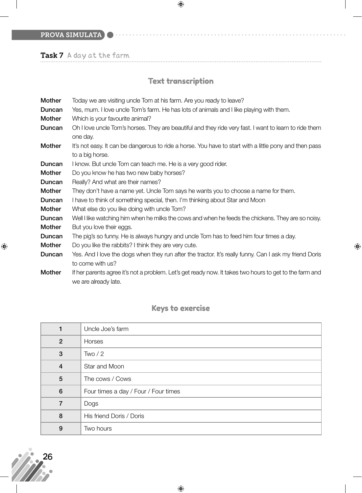PROVA SIMULATA

Task 7 A day at the farm

# Text transcription

 $\bigoplus$ 

. . . . . . . .

 $\bigoplus$ 

| Mother        | Today we are visiting uncle Tom at his farm. Are you ready to leave?                                    |
|---------------|---------------------------------------------------------------------------------------------------------|
| Duncan        | Yes, mum. I love uncle Tom's farm. He has lots of animals and I like playing with them.                 |
| <b>Mother</b> | Which is your favourite animal?                                                                         |
| Duncan        | Oh I love uncle Tom's horses. They are beautiful and they ride very fast. I want to learn to ride them  |
|               | one day.                                                                                                |
| <b>Mother</b> | It's not easy. It can be dangerous to ride a horse. You have to start with a little pony and then pass  |
|               | to a big horse.                                                                                         |
| Duncan        | I know. But uncle Tom can teach me. He is a very good rider.                                            |
| <b>Mother</b> | Do you know he has two new baby horses?                                                                 |
| Duncan        | Really? And what are their names?                                                                       |
| Mother        | They don't have a name yet. Uncle Tom says he wants you to choose a name for them.                      |
| Duncan        | I have to think of something special, then. I'm thinking about Star and Moon                            |
| <b>Mother</b> | What else do you like doing with uncle Tom?                                                             |
| Duncan        | Well I like watching him when he milks the cows and when he feeds the chickens. They are so noisy.      |
| <b>Mother</b> | But you love their eggs.                                                                                |
| Duncan        | The pig's so funny. He is always hungry and uncle Tom has to feed him four times a day.                 |
| <b>Mother</b> | Do you like the rabbits? I think they are very cute.                                                    |
| Duncan        | Yes. And I love the dogs when they run after the tractor. It's really funny. Can I ask my friend Doris  |
|               | to come with us?                                                                                        |
| <b>Mother</b> | If her parents agree it's not a problem. Let's get ready now. It takes two hours to get to the farm and |
|               | we are already late.                                                                                    |

# Keys to exercise

| Uncle Joe's farm                     |
|--------------------------------------|
| Horses                               |
| Two / 2                              |
| Star and Moon                        |
| The cows / Cows                      |
| Four times a day / Four / Four times |
| Dogs                                 |
| His friend Doris / Doris             |
| Two hours                            |
|                                      |



 $\bigoplus$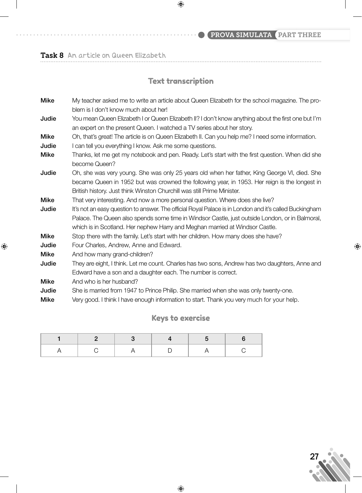PROVA SIMULATA PART THREE

Task 8 An article on Queen Elizabeth

 $\bigoplus$ 

# Text transcription

 $\bigoplus$ 

| Mike        | My teacher asked me to write an article about Queen Elizabeth for the school magazine. The pro-        |
|-------------|--------------------------------------------------------------------------------------------------------|
|             | blem is I don't know much about her!                                                                   |
| Judie       | You mean Queen Elizabeth I or Queen Elizabeth II? I don't know anything about the first one but I'm    |
|             | an expert on the present Queen. I watched a TV series about her story.                                 |
| <b>Mike</b> | Oh, that's great! The article is on Queen Elizabeth II. Can you help me? I need some information.      |
| Judie       | I can tell you everything I know. Ask me some questions.                                               |
| <b>Mike</b> | Thanks, let me get my notebook and pen. Ready. Let's start with the first question. When did she       |
|             | become Queen?                                                                                          |
| Judie       | Oh, she was very young. She was only 25 years old when her father, King George VI, died. She           |
|             | became Queen in 1952 but was crowned the following year, in 1953. Her reign is the longest in          |
|             | British history. Just think Winston Churchill was still Prime Minister.                                |
| <b>Mike</b> | That very interesting. And now a more personal question. Where does she live?                          |
| Judie       | It's not an easy question to answer. The official Royal Palace is in London and it's called Buckingham |
|             | Palace. The Queen also spends some time in Windsor Castle, just outside London, or in Balmoral,        |
|             | which is in Scotland. Her nephew Harry and Meghan married at Windsor Castle.                           |
| <b>Mike</b> | Stop there with the family. Let's start with her children. How many does she have?                     |
| Judie       | Four Charles, Andrew, Anne and Edward.                                                                 |
| <b>Mike</b> | And how many grand-children?                                                                           |
| Judie       | They are eight, I think. Let me count. Charles has two sons, Andrew has two daughters, Anne and        |
|             | Edward have a son and a daughter each. The number is correct.                                          |
| <b>Mike</b> | And who is her husband?                                                                                |
| Judie       | She is married from 1947 to Prince Philip. She married when she was only twenty-one.                   |
| <b>Mike</b> | Very good. I think I have enough information to start. Thank you very much for your help.              |

# Keys to exercise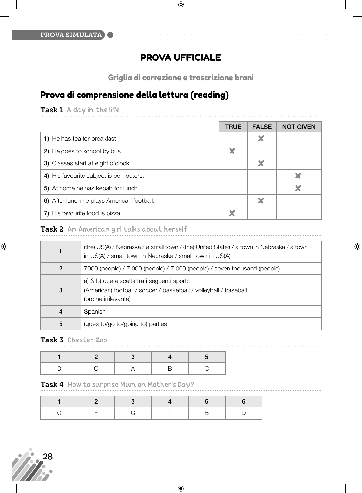## PROVA UFFICIALE

Griglia di correzione e trascrizione brani

# Prova di comprensione della lettura (reading)

Task 1 A day in the life

|                                            | <b>TRUE</b> | <b>FALSE</b> | <b>NOT GIVEN</b> |
|--------------------------------------------|-------------|--------------|------------------|
| 1) He has tea for breakfast.               |             | X            |                  |
| 2) He goes to school by bus.               |             |              |                  |
| 3) Classes start at eight o'clock.         |             | X            |                  |
| 4) His favourite subject is computers.     |             |              | X                |
| 5) At home he has kebab for lunch.         |             |              |                  |
| 6) After lunch he plays American football. |             | X            |                  |
| 7) His favourite food is pizza.            |             |              |                  |

#### Task 2 An American girl talks about herself

|                | (the) US(A) / Nebraska / a small town / (the) United States / a town in Nebraska / a town<br>in US(A) / small town in Nebraska / small town in US(A) |
|----------------|------------------------------------------------------------------------------------------------------------------------------------------------------|
| $\overline{2}$ | 7000 (people) / 7,000 (people) / 7.000 (people) / seven thousand (people)                                                                            |
| 3              | a) & b) due a scelta tra i seguenti sport:<br>(American) football / soccer / basketball / volleyball / baseball<br>(ordine irrilevante)              |
| $\overline{4}$ | Spanish                                                                                                                                              |
| 5              | (goes to/go to/going to) parties                                                                                                                     |

 $\bigoplus$ 

 $\bigoplus$ 

#### Task 3 Chester Zoo

#### Task 4 How to surprise Mum on Mother's Day?



 $\bigoplus$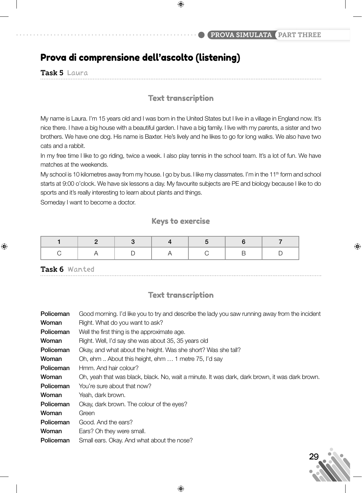## Prova di comprensione dell'ascolto (listening)

Task 5 Laura

 $\bigoplus$ 

#### Text transcription

My name is Laura. I'm 15 years old and I was born in the United States but I live in a village in England now. It's nice there. I have a big house with a beautiful garden. I have a big family. I live with my parents, a sister and two brothers. We have one dog. His name is Baxter. He's lively and he likes to go for long walks. We also have two cats and a rabbit.

In my free time I like to go riding, twice a week. I also play tennis in the school team. It's a lot of fun. We have matches at the weekends.

My school is 10 kilometres away from my house. I go by bus. I like my classmates. I'm in the 11<sup>th</sup> form and school starts at 9:00 o'clock. We have six lessons a day. My favourite subjects are PE and biology because I like to do sports and it's really interesting to learn about plants and things.

Someday I want to become a doctor.

#### Keys to exercise

Task 6 Wanted

 $\bigoplus$ 

#### Text transcription

| Good morning. I'd like you to try and describe the lady you saw running away from the incident |
|------------------------------------------------------------------------------------------------|
| Right. What do you want to ask?                                                                |
| Well the first thing is the approximate age.                                                   |
| Right. Well, I'd say she was about 35, 35 years old                                            |
| Okay, and what about the height. Was she short? Was she tall?                                  |
| Oh, ehm  About this height, ehm  1 metre 75, I'd say                                           |
| Hmm. And hair colour?                                                                          |
| Oh, yeah that was black, black. No, wait a minute. It was dark, dark brown, it was dark brown. |
| You're sure about that now?                                                                    |
| Yeah, dark brown.                                                                              |
| Okay, dark brown. The colour of the eyes?                                                      |
| Green                                                                                          |
| Good. And the ears?                                                                            |
| Ears? Oh they were small.                                                                      |
| Small ears. Okay. And what about the nose?                                                     |
|                                                                                                |



♠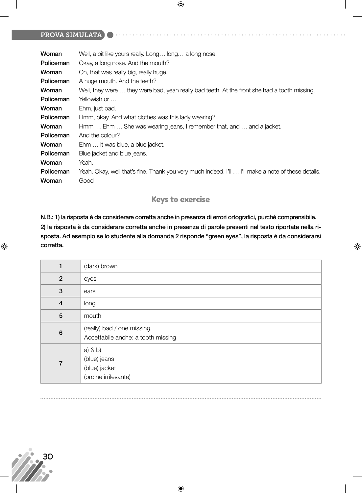#### PROVA SIMULATA

| Woman     | Well, a bit like yours really. Long long a long nose.                                              |
|-----------|----------------------------------------------------------------------------------------------------|
| Policeman | Okay, a long nose. And the mouth?                                                                  |
| Woman     | Oh, that was really big, really huge.                                                              |
| Policeman | A huge mouth. And the teeth?                                                                       |
| Woman     | Well, they were  they were bad, yeah really bad teeth. At the front she had a tooth missing.       |
| Policeman | Yellowish or                                                                                       |
| Woman     | Ehm, just bad.                                                                                     |
| Policeman | Hmm, okay. And what clothes was this lady wearing?                                                 |
| Woman     | Hmm  Ehm  She was wearing jeans, I remember that, and  and a jacket.                               |
| Policeman | And the colour?                                                                                    |
| Woman     | Ehm  It was blue, a blue jacket.                                                                   |
| Policeman | Blue jacket and blue jeans.                                                                        |
| Woman     | Yeah.                                                                                              |
| Policeman | Yeah. Okay, well that's fine. Thank you very much indeed. I'll  I'll make a note of these details. |
| Woman     | Good                                                                                               |

#### Keys to exercise

**N.B.: 1) la risposta è da considerare corretta anche in presenza di errori ortografici, purché comprensibile. 2) la risposta è da considerare corretta anche in presenza di parole presenti nel testo riportate nella risposta. Ad esempio se lo studente alla domanda 2 risponde "green eyes", la risposta è da considerarsi corretta.**

 $\bigoplus$ 

|                 | (dark) brown                                                         |  |
|-----------------|----------------------------------------------------------------------|--|
| $\overline{2}$  | eyes                                                                 |  |
| 3               | ears                                                                 |  |
| $\overline{4}$  | long                                                                 |  |
| 5               | mouth                                                                |  |
| $6\phantom{1}6$ | (really) bad / one missing<br>Accettabile anche: a tooth missing     |  |
| 7               | $a)$ & $b)$<br>(blue) jeans<br>(blue) jacket<br>(ordine irrilevante) |  |

 $\bigoplus$ 



 $\bigoplus$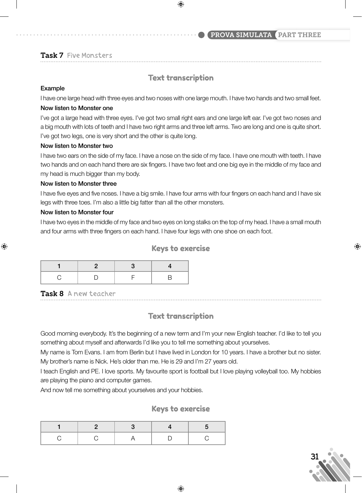#### PROVA SIMULATA PART THREE

#### Task 7 Five Monsters

#### Text transcription

 $\bigoplus$ 

#### **Example**

I have one large head with three eyes and two noses with one large mouth. I have two hands and two small feet.

#### **Now listen to Monster one**

I've got a large head with three eyes. I've got two small right ears and one large left ear. I've got two noses and a big mouth with lots of teeth and I have two right arms and three left arms. Two are long and one is quite short. I've got two legs, one is very short and the other is quite long.

#### **Now listen to Monster two**

I have two ears on the side of my face. I have a nose on the side of my face. I have one mouth with teeth. I have two hands and on each hand there are six fingers. I have two feet and one big eye in the middle of my face and my head is much bigger than my body.

#### **Now listen to Monster three**

I have five eyes and five noses. I have a big smile. I have four arms with four fingers on each hand and I have six legs with three toes. I'm also a little big fatter than all the other monsters.

#### **Now listen to Monster four**

⊕

I have two eyes in the middle of my face and two eyes on long stalks on the top of my head. I have a small mouth and four arms with three fingers on each hand. I have four legs with one shoe on each foot.

#### Keys to exercise

#### Task 8 A new teacher

#### Text transcription

Good morning everybody. It's the beginning of a new term and I'm your new English teacher. I'd like to tell you something about myself and afterwards I'd like you to tell me something about yourselves.

My name is Tom Evans. I am from Berlin but I have lived in London for 10 years. I have a brother but no sister. My brother's name is Nick. He's older than me. He is 29 and I'm 27 years old.

I teach English and PE. I love sports. My favourite sport is football but I love playing volleyball too. My hobbies are playing the piano and computer games.

And now tell me something about yourselves and your hobbies.

#### Keys to exercise



⊕